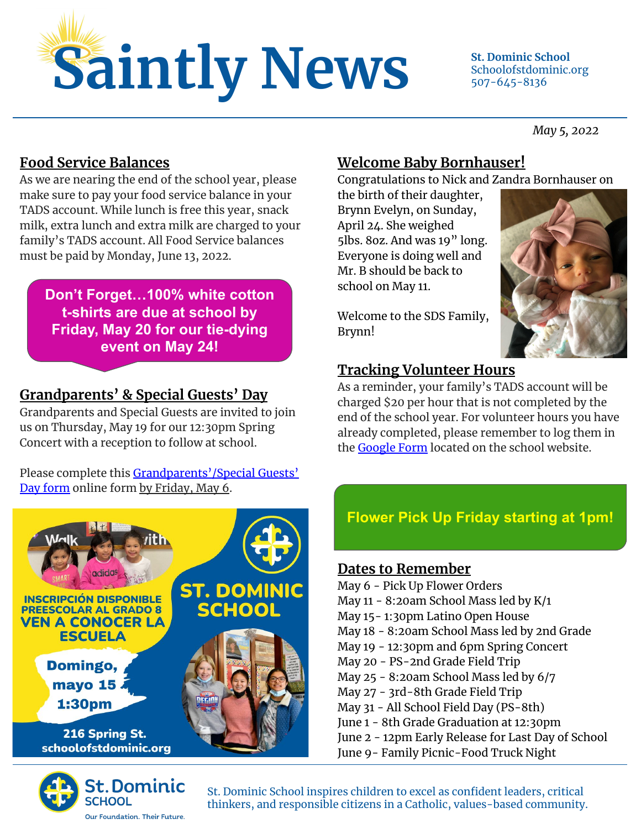

Schoolofstdominic.org 507-645-8136

*May 5, 2022*

#### **Food Service Balances**

As we are nearing the end of the school year, please make sure to pay your food service balance in your TADS account. While lunch is free this year, snack milk, extra lunch and extra milk are charged to your family's TADS account. All Food Service balances must be paid by Monday, June 13, 2022.

**Don't Forget…100% white cotton t-shirts are due at school by Friday, May 20 for our tie-dying event on May 24!**

# **Grandparents' & Special Guests' Day**

Grandparents and Special Guests are invited to join us on Thursday, May 19 for our 12:30pm Spring Concert with a reception to follow at school.

Please complete this [Grandparents'/Special Guests'](https://forms.gle/PTUotQkbdzdKaJ986) [Day form](https://forms.gle/PTUotQkbdzdKaJ986) online form by Friday, May 6.





#### **Welcome Baby Bornhauser!**

Congratulations to Nick and Zandra Bornhauser on

the birth of their daughter, Brynn Evelyn, on Sunday, April 24. She weighed 5lbs. 8oz. And was 19" long. Everyone is doing well and Mr. B should be back to school on May 11.



Welcome to the SDS Family, Brynn!

# **Tracking Volunteer Hours**

As a reminder, your family's TADS account will be charged \$20 per hour that is not completed by the end of the school year. For volunteer hours you have already completed, please remember to log them in the [Google Form](https://schoolofstdominic.org/get-involved/) located on the school website.

# **Flower Pick Up Friday starting at 1pm!**

#### **Dates to Remember**

May 6 - Pick Up Flower Orders May 11 - 8:20am School Mass led by K/1 May 15- 1:30pm Latino Open House May 18 - 8:20am School Mass led by 2nd Grade May 19 - 12:30pm and 6pm Spring Concert May 20 - PS-2nd Grade Field Trip May 25 - 8:20am School Mass led by 6/7 May 27 - 3rd-8th Grade Field Trip May 31 - All School Field Day (PS-8th) June 1 - 8th Grade Graduation at 12:30pm June 2 - 12pm Early Release for Last Day of School June 9- Family Picnic-Food Truck Night

St. Dominic School inspires children to excel as confident leaders, critical thinkers, and responsible citizens in a Catholic, values-based community.